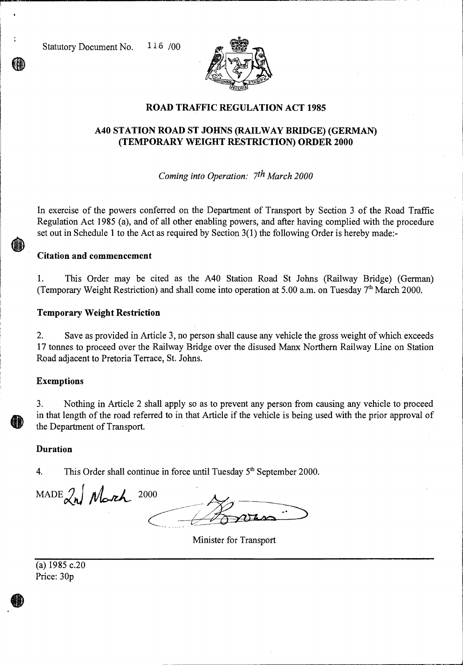Statutory Document No. 116 /00



# **ROAD TRAFFIC REGULATION ACT 1985**

# **A40 STATION ROAD ST JOHNS (RAILWAY BRIDGE) (GERMAN) (TEMPORARY WEIGHT RESTRICTION) ORDER 2000**

*Coming into Operation: 7th March 2000* 

In exercise of the powers conferred on the Department of Transport by Section 3 of the Road Traffic Regulation Act 1985 (a), and of all other enabling powers, and after having complied with the procedure set out in Schedule 1 to the Act as required by Section 3(1) the following Order is hereby made:-

### **Citation and commencement**

1. This Order may be cited as the A40 Station Road St Johns (Railway Bridge) (German) (Temporary Weight Restriction) and shall come into operation at 5.00 a.m. on Tuesday  $7<sup>th</sup>$  March 2000.

#### **Temporary Weight Restriction**

2. Save as provided in Article 3, no person shall cause any vehicle the gross weight of which exceeds 17 tonnes to proceed over the Railway Bridge over the disused Manx Northern Railway Line on Station Road adjacent to Pretoria Terrace, St. Johns.

#### **Exemptions**

3. Nothing in Article 2 shall apply so as to prevent any person from causing any vehicle to proceed in that length of the road referred to in that Article if the vehicle is being used with the prior approval of the Department of Transport.

#### **Duration**

4. This Order shall continue in force until Tuesday  $5<sup>th</sup>$  September 2000.

 $\text{MADE}$  $\lambda$ N Morch 2000

Minister for Transport

 $(a)$  1985 c.20 Price: 30p

 $\bigcirc$